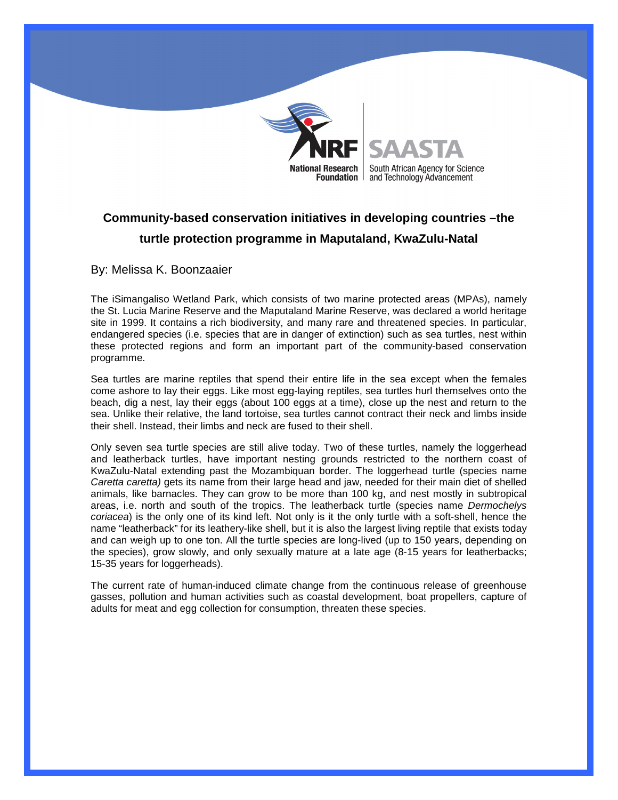

## **Community-based conservation initiatives in developing countries –the turtle protection programme in Maputaland, KwaZulu-Natal**

By: Melissa K. Boonzaaier

The iSimangaliso Wetland Park, which consists of two marine protected areas (MPAs), namely the St. Lucia Marine Reserve and the Maputaland Marine Reserve, was declared a world heritage site in 1999. It contains a rich biodiversity, and many rare and threatened species. In particular, endangered species (i.e. species that are in danger of extinction) such as sea turtles, nest within these protected regions and form an important part of the community-based conservation programme.

Sea turtles are marine reptiles that spend their entire life in the sea except when the females come ashore to lay their eggs. Like most egg-laying reptiles, sea turtles hurl themselves onto the beach, dig a nest, lay their eggs (about 100 eggs at a time), close up the nest and return to the sea. Unlike their relative, the land tortoise, sea turtles cannot contract their neck and limbs inside their shell. Instead, their limbs and neck are fused to their shell.

Only seven sea turtle species are still alive today. Two of these turtles, namely the loggerhead and leatherback turtles, have important nesting grounds restricted to the northern coast of KwaZulu-Natal extending past the Mozambiquan border. The loggerhead turtle (species name Caretta caretta) gets its name from their large head and jaw, needed for their main diet of shelled animals, like barnacles. They can grow to be more than 100 kg, and nest mostly in subtropical areas, i.e. north and south of the tropics. The leatherback turtle (species name Dermochelys coriacea) is the only one of its kind left. Not only is it the only turtle with a soft-shell, hence the name "leatherback" for its leathery-like shell, but it is also the largest living reptile that exists today and can weigh up to one ton. All the turtle species are long-lived (up to 150 years, depending on the species), grow slowly, and only sexually mature at a late age (8-15 years for leatherbacks; 15-35 years for loggerheads).

The current rate of human-induced climate change from the continuous release of greenhouse gasses, pollution and human activities such as coastal development, boat propellers, capture of adults for meat and egg collection for consumption, threaten these species.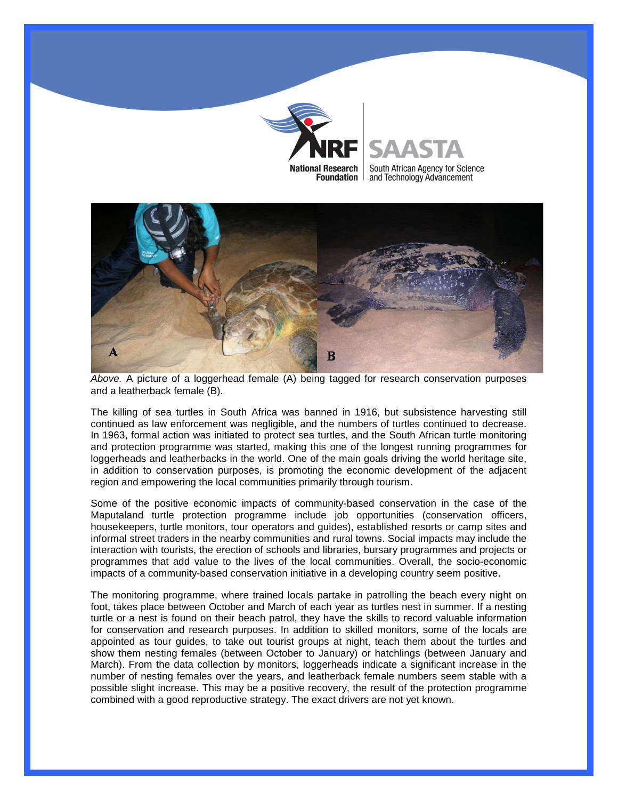



Above. A picture of a loggerhead female (A) being tagged for research conservation purposes and a leatherback female (B).

The killing of sea turtles in South Africa was banned in 1916, but subsistence harvesting still continued as law enforcement was negligible, and the numbers of turtles continued to decrease. In 1963, formal action was initiated to protect sea turtles, and the South African turtle monitoring and protection programme was started, making this one of the longest running programmes for loggerheads and leatherbacks in the world. One of the main goals driving the world heritage site, in addition to conservation purposes, is promoting the economic development of the adjacent region and empowering the local communities primarily through tourism.

Some of the positive economic impacts of community-based conservation in the case of the Maputaland turtle protection programme include job opportunities (conservation officers, housekeepers, turtle monitors, tour operators and guides), established resorts or camp sites and informal street traders in the nearby communities and rural towns. Social impacts may include the interaction with tourists, the erection of schools and libraries, bursary programmes and projects or programmes that add value to the lives of the local communities. Overall, the socio-economic impacts of a community-based conservation initiative in a developing country seem positive.

The monitoring programme, where trained locals partake in patrolling the beach every night on foot, takes place between October and March of each year as turtles nest in summer. If a nesting turtle or a nest is found on their beach patrol, they have the skills to record valuable information for conservation and research purposes. In addition to skilled monitors, some of the locals are appointed as tour guides, to take out tourist groups at night, teach them about the turtles and show them nesting females (between October to January) or hatchlings (between January and March). From the data collection by monitors, loggerheads indicate a significant increase in the number of nesting females over the years, and leatherback female numbers seem stable with a possible slight increase. This may be a positive recovery, the result of the protection programme combined with a good reproductive strategy. The exact drivers are not yet known.